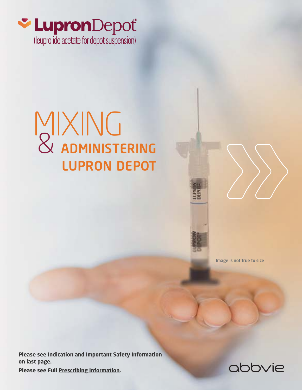

# MIXING<br>& ADMINISTERING LUPRON DEPOT



Image is not true to size

**Please see Indication and Important Safety Information on last page.** 

**Please see Full Prescribing Information.**

## abbvie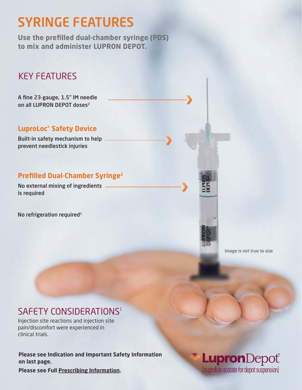# SYRINGE FEATURES

**Use the prefilled dual-chamber syringe (PDS) to mix and administer LUPRON DEPOT.**

### KEY FEATURES

A fine 23-gauge, 1.5" IM needle on all LUPRON DEPOT doses<sup>2</sup>

### **LuproLoc® Safety Device**

Built-in safety mechanism to help prevent needlestick injuries

### **Prefilled Dual-Chamber Syringe2**

No external mixing of ingredients is required

No refrigeration required<sup>1</sup>

Image is not true to size

### SAFFTY CONSIDERATIONS<sup>1</sup>

Injection site reactions and injection site pain/discomfort were experienced in clinical trials.

**Please see Indication and Important Safety Information on last page.** 

LupronDepot (leuprolide acetate for depot suspension)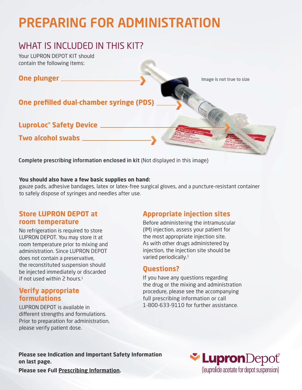# PREPARING FOR ADMINISTRATION

### WHAT IS INCLUDED IN THIS KIT?

Your LUPRON DEPOT KIT should contain the following items:

### **One plunger**

**One prefilled dual-chamber syringe (PDS)**

**LuproLoc® Safety Device**

**Two alcohol swabs**

Complete prescribing information enclosed in kit (Not displayed in this image)

#### **You should also have a few basic supplies on hand:**

gauze pads, adhesive bandages, latex or latex-free surgical gloves, and a puncture-resistant container to safely dispose of syringes and needles after use.

### **Store LUPRON DEPOT at room temperature**

No refrigeration is required to store LUPRON DEPOT. You may store it at room temperature prior to mixing and administration. Since LUPRON DEPOT does not contain a preservative, the reconstituted suspension should be injected immediately or discarded if not used within  $2$  hours.<sup>1</sup>

### **Verify appropriate formulations**

LUPRON DEPOT is available in different strengths and formulations. Prior to preparation for administration, please verify patient dose.

### **Appropriate injection sites**

Image is not true to size

Before administering the intramuscular (IM) injection, assess your patient for the most appropriate injection site. As with other drugs administered by injection, the injection site should be varied periodically.<sup>1</sup>

### **Questions?**

If you have any questions regarding the drug or the mixing and administration procedure, please see the accompanying full prescribing information or call 1-800-633-9110 for further assistance.

**Please see Indication and Important Safety Information on last page.** 

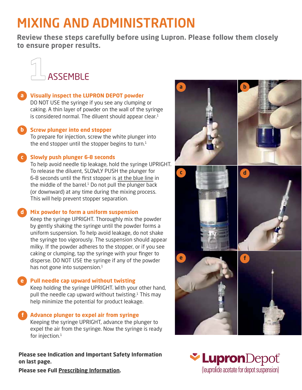# MIXING AND ADMINISTRATION

**Review these steps carefully before using Lupron. Please follow them closely to ensure proper results.**



### **Visually inspect the LUPRON DEPOT powder a**

DO NOT USE the syringe if you see any clumping or caking. A thin layer of powder on the wall of the syringe is considered normal. The diluent should appear clear.<sup>1</sup>

### **b** Screw plunger into end stopper

To prepare for injection, screw the white plunger into the end stopper until the stopper begins to turn. $1$ 

#### **Slowly push plunger 6–8 seconds c**

To help avoid needle tip leakage, hold the syringe UPRIGHT. To release the diluent, SLOWLY PUSH the plunger for 6–8 seconds until the first stopper is at the blue line in the middle of the barrel. $1$  Do not pull the plunger back (or downward) at any time during the mixing process. This will help prevent stopper separation.

### **Mix powder to form a uniform suspension d**

Keep the syringe UPRIGHT. Thoroughly mix the powder by gently shaking the syringe until the powder forms a uniform suspension. To help avoid leakage, do not shake the syringe too vigorously. The suspension should appear milky. If the powder adheres to the stopper, or if you see caking or clumping, tap the syringe with your finger to disperse. DO NOT USE the syringe if any of the powder has not gone into suspension. $1$ 

#### **Pull needle cap upward without twisting e**

Keep holding the syringe UPRIGHT. With your other hand, pull the needle cap upward without twisting. $1$  This may help minimize the potential for product leakage.

#### **Advance plunger to expel air from syringe f**

Keeping the syringe UPRIGHT, advance the plunger to expel the air from the syringe. Now the syringe is ready for injection.<sup>1</sup>

**Please see Indication and Important Safety Information on last page.** 



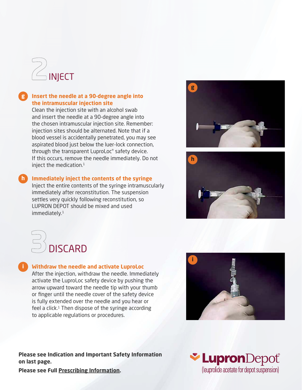

### **Insert the needle at a 90-degree angle into g the intramuscular injection site**

Clean the injection site with an alcohol swab and insert the needle at a 90-degree angle into the chosen intramuscular injection site. Remember: injection sites should be alternated. Note that if a blood vessel is accidentally penetrated, you may see aspirated blood just below the luer-lock connection, through the transparent LuproLoc® safety device. If this occurs, remove the needle immediately. Do not inject the medication. $1$ 

### **h** Immediately inject the contents of the syringe

Inject the entire contents of the syringe intramuscularly immediately after reconstitution. The suspension settles very quickly following reconstitution, so LUPRON DEPOT should be mixed and used immediately.<sup>1</sup>





# $\mathbb{D}$  discard

#### **i** Withdraw the needle and activate LuproLoc

After the injection, withdraw the needle. Immediately activate the LuproLoc safety device by pushing the arrow upward toward the needle tip with your thumb or finger until the needle cover of the safety device is fully extended over the needle and you hear or feel a click. $1$  Then dispose of the syringe according to applicable regulations or procedures.